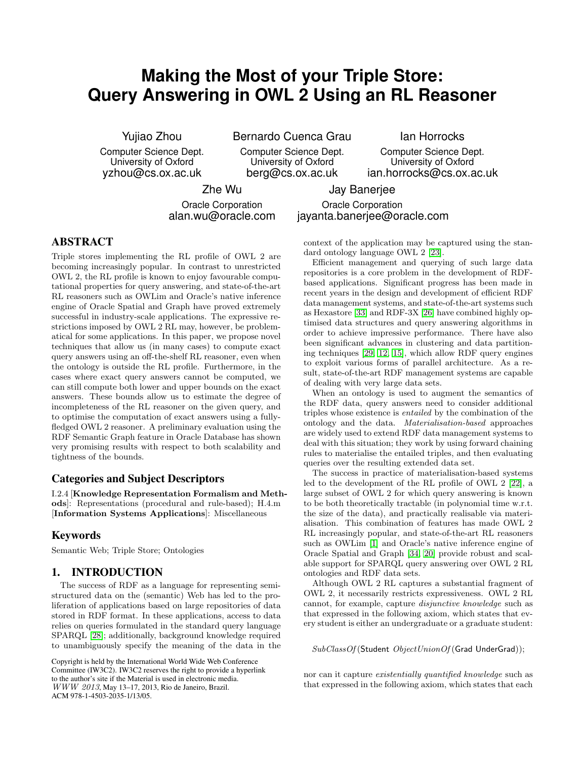# **Making the Most of your Triple Store: Query Answering in OWL 2 Using an RL Reasoner**

Yujiao Zhou

Computer Science Dept. University of Oxford yzhou@cs.ox.ac.uk

Bernardo Cuenca Grau

Computer Science Dept. University of Oxford berg@cs.ox.ac.uk

Ian Horrocks

Computer Science Dept. University of Oxford ian.horrocks@cs.ox.ac.uk

Zhe Wu

Jay Banerjee

Oracle Corporation alan.wu@oracle.com

Oracle Corporation jayanta.banerjee@oracle.com

# **ABSTRACT**

Triple stores implementing the RL profile of OWL 2 are becoming increasingly popular. In contrast to unrestricted OWL 2, the RL profile is known to enjoy favourable computational properties for query answering, and state-of-the-art RL reasoners such as OWLim and Oracle's native inference engine of Oracle Spatial and Graph have proved extremely successful in industry-scale applications. The expressive restrictions imposed by OWL 2 RL may, however, be problematical for some applications. In this paper, we propose novel techniques that allow us (in many cases) to compute exact query answers using an off-the-shelf RL reasoner, even when the ontology is outside the RL profile. Furthermore, in the cases where exact query answers cannot be computed, we can still compute both lower and upper bounds on the exact answers. These bounds allow us to estimate the degree of incompleteness of the RL reasoner on the given query, and to optimise the computation of exact answers using a fullyfledged OWL 2 reasoner. A preliminary evaluation using the RDF Semantic Graph feature in Oracle Database has shown very promising results with respect to both scalability and tightness of the bounds.

## **Categories and Subject Descriptors**

I.2.4 [Knowledge Representation Formalism and Methods]: Representations (procedural and rule-based); H.4.m [Information Systems Applications]: Miscellaneous

## **Keywords**

Semantic Web; Triple Store; Ontologies

## **1. INTRODUCTION**

The success of RDF as a language for representing semistructured data on the (semantic) Web has led to the proliferation of applications based on large repositories of data stored in RDF format. In these applications, access to data relies on queries formulated in the standard query language SPARQL [\[28\]](#page-10-0); additionally, background knowledge required to unambiguously specify the meaning of the data in the

Copyright is held by the International World Wide Web Conference Committee (IW3C2). IW3C2 reserves the right to provide a hyperlink to the author's site if the Material is used in electronic media. WWW 2013, May 13–17, 2013, Rio de Janeiro, Brazil. ACM 978-1-4503-2035-1/13/05.

context of the application may be captured using the standard ontology language OWL 2 [\[23\]](#page-10-1).

Efficient management and querying of such large data repositories is a core problem in the development of RDFbased applications. Significant progress has been made in recent years in the design and development of efficient RDF data management systems, and state-of-the-art systems such as Hexastore [\[33\]](#page-10-2) and RDF-3X [\[26\]](#page-10-3) have combined highly optimised data structures and query answering algorithms in order to achieve impressive performance. There have also been significant advances in clustering and data partitioning techniques [\[29,](#page-10-4) [12,](#page-9-0) [15\]](#page-9-1), which allow RDF query engines to exploit various forms of parallel architecture. As a result, state-of-the-art RDF management systems are capable of dealing with very large data sets.

When an ontology is used to augment the semantics of the RDF data, query answers need to consider additional triples whose existence is entailed by the combination of the ontology and the data. Materialisation-based approaches are widely used to extend RDF data management systems to deal with this situation; they work by using forward chaining rules to materialise the entailed triples, and then evaluating queries over the resulting extended data set.

The success in practice of materialisation-based systems led to the development of the RL profile of OWL 2 [\[22\]](#page-10-5), a large subset of OWL 2 for which query answering is known to be both theoretically tractable (in polynomial time w.r.t. the size of the data), and practically realisable via materialisation. This combination of features has made OWL 2 RL increasingly popular, and state-of-the-art RL reasoners such as OWLim [\[1\]](#page-9-2) and Oracle's native inference engine of Oracle Spatial and Graph [\[34,](#page-10-6) [20\]](#page-10-7) provide robust and scalable support for SPARQL query answering over OWL 2 RL ontologies and RDF data sets.

Although OWL 2 RL captures a substantial fragment of OWL 2, it necessarily restricts expressiveness. OWL 2 RL cannot, for example, capture disjunctive knowledge such as that expressed in the following axiom, which states that every student is either an undergraduate or a graduate student:

SubClassOf (Student ObjectUnionOf (Grad UnderGrad));

nor can it capture existentially quantified knowledge such as that expressed in the following axiom, which states that each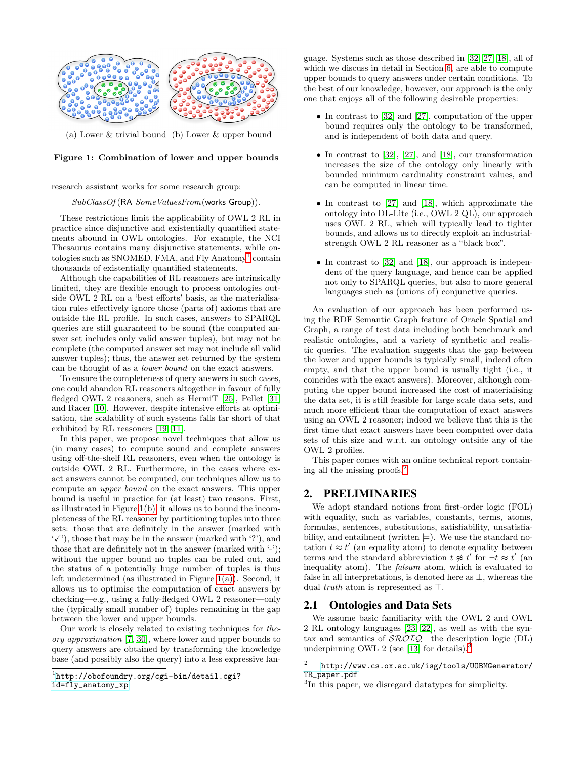<span id="page-1-2"></span>

<span id="page-1-1"></span>(a) Lower & trivial bound (b) Lower & upper bound

## Figure 1: Combination of lower and upper bounds

research assistant works for some research group:

#### $SubClassOf (RA \ Some ValuesFrom (works Group)).$

These restrictions limit the applicability of OWL 2 RL in practice since disjunctive and existentially quantified statements abound in OWL ontologies. For example, the NCI Thesaurus contains many disjunctive statements, while on-tologies such as SNOMED, FMA, and Fly Anatomy<sup>[1](#page-1-0)</sup> contain thousands of existentially quantified statements.

Although the capabilities of RL reasoners are intrinsically limited, they are flexible enough to process ontologies outside OWL 2 RL on a 'best efforts' basis, as the materialisation rules effectively ignore those (parts of) axioms that are outside the RL profile. In such cases, answers to SPARQL queries are still guaranteed to be sound (the computed answer set includes only valid answer tuples), but may not be complete (the computed answer set may not include all valid answer tuples); thus, the answer set returned by the system can be thought of as a lower bound on the exact answers.

To ensure the completeness of query answers in such cases, one could abandon RL reasoners altogether in favour of fully fledged OWL 2 reasoners, such as HermiT [\[25\]](#page-10-8), Pellet [\[31\]](#page-10-9) and Racer [\[10\]](#page-9-3). However, despite intensive efforts at optimisation, the scalability of such systems falls far short of that exhibited by RL reasoners [\[19,](#page-10-10) [11\]](#page-9-4).

In this paper, we propose novel techniques that allow us (in many cases) to compute sound and complete answers using off-the-shelf RL reasoners, even when the ontology is outside OWL 2 RL. Furthermore, in the cases where exact answers cannot be computed, our techniques allow us to compute an upper bound on the exact answers. This upper bound is useful in practice for (at least) two reasons. First, as illustrated in Figure [1\(b\),](#page-1-1) it allows us to bound the incompleteness of the RL reasoner by partitioning tuples into three sets: those that are definitely in the answer (marked with  $'$ , those that may be in the answer (marked with '?'), and those that are definitely not in the answer (marked with  $\langle \cdot \cdot \rangle$ ); without the upper bound no tuples can be ruled out, and the status of a potentially huge number of tuples is thus left undetermined (as illustrated in Figure [1\(a\)\)](#page-1-2). Second, it allows us to optimise the computation of exact answers by checking—e.g., using a fully-fledged OWL 2 reasoner—only the (typically small number of) tuples remaining in the gap between the lower and upper bounds.

Our work is closely related to existing techniques for theory approximation [\[7,](#page-9-5) [30\]](#page-10-11), where lower and upper bounds to query answers are obtained by transforming the knowledge base (and possibly also the query) into a less expressive lan-

<span id="page-1-0"></span>[id=fly\\_anatomy\\_xp](http://obofoundry.org/cgi-bin/detail.cgi?id=fly_anatomy_xp)

guage. Systems such as those described in [\[32,](#page-10-12) [27,](#page-10-13) [18\]](#page-10-14), all of which we discuss in detail in Section [6,](#page-8-0) are able to compute upper bounds to query answers under certain conditions. To the best of our knowledge, however, our approach is the only one that enjoys all of the following desirable properties:

- In contrast to [\[32\]](#page-10-12) and [\[27\]](#page-10-13), computation of the upper bound requires only the ontology to be transformed, and is independent of both data and query.
- In contrast to  $[32]$ ,  $[27]$ , and  $[18]$ , our transformation increases the size of the ontology only linearly with bounded minimum cardinality constraint values, and can be computed in linear time.
- In contrast to [\[27\]](#page-10-13) and [\[18\]](#page-10-14), which approximate the ontology into DL-Lite (i.e., OWL 2 QL), our approach uses OWL 2 RL, which will typically lead to tighter bounds, and allows us to directly exploit an industrialstrength OWL 2 RL reasoner as a "black box".
- In contrast to [\[32\]](#page-10-12) and [\[18\]](#page-10-14), our approach is independent of the query language, and hence can be applied not only to SPARQL queries, but also to more general languages such as (unions of) conjunctive queries.

An evaluation of our approach has been performed using the RDF Semantic Graph feature of Oracle Spatial and Graph, a range of test data including both benchmark and realistic ontologies, and a variety of synthetic and realistic queries. The evaluation suggests that the gap between the lower and upper bounds is typically small, indeed often empty, and that the upper bound is usually tight (i.e., it coincides with the exact answers). Moreover, although computing the upper bound increased the cost of materialising the data set, it is still feasible for large scale data sets, and much more efficient than the computation of exact answers using an OWL 2 reasoner; indeed we believe that this is the first time that exact answers have been computed over data sets of this size and w.r.t. an ontology outside any of the OWL 2 profiles.

This paper comes with an online technical report containing all the missing proofs.[2](#page-1-3)

# **2. PRELIMINARIES**

We adopt standard notions from first-order logic (FOL) with equality, such as variables, constants, terms, atoms, formulas, sentences, substitutions, satisfiability, unsatisfiability, and entailment (written  $\models$ ). We use the standard notation  $t \approx t'$  (an equality atom) to denote equality between terms and the standard abbreviation  $t \not\approx t'$  for  $-t \approx t'$  (and inequality atom). The falsum atom, which is evaluated to false in all interpretations, is denoted here as ⊥, whereas the dual truth atom is represented as ⊤.

# **2.1 Ontologies and Data Sets**

We assume basic familiarity with the OWL 2 and OWL 2 RL ontology languages [\[23,](#page-10-1) [22\]](#page-10-5), as well as with the syntax and semantics of  $\mathcal{SROIQ}$ —the description logic (DL) underpinning OWL 2 (see [\[13\]](#page-9-6) for details). $\frac{3}{5}$  $\frac{3}{5}$  $\frac{3}{5}$ 

<sup>1</sup> [http://obofoundry.org/cgi-bin/detail.cgi?](http://obofoundry.org/cgi-bin/detail.cgi?id=fly_anatomy_xp)

 $\overline{2}$ [http://www.cs.ox.ac.uk/isg/tools/UOBMGenerator/](http://www.cs.ox.ac.uk/isg/tools/UOBMGenerator/TR_paper.pdf) [TR\\_paper.pdf](http://www.cs.ox.ac.uk/isg/tools/UOBMGenerator/TR_paper.pdf)

<span id="page-1-4"></span><span id="page-1-3"></span><sup>&</sup>lt;sup>3</sup>In this paper, we disregard datatypes for simplicity.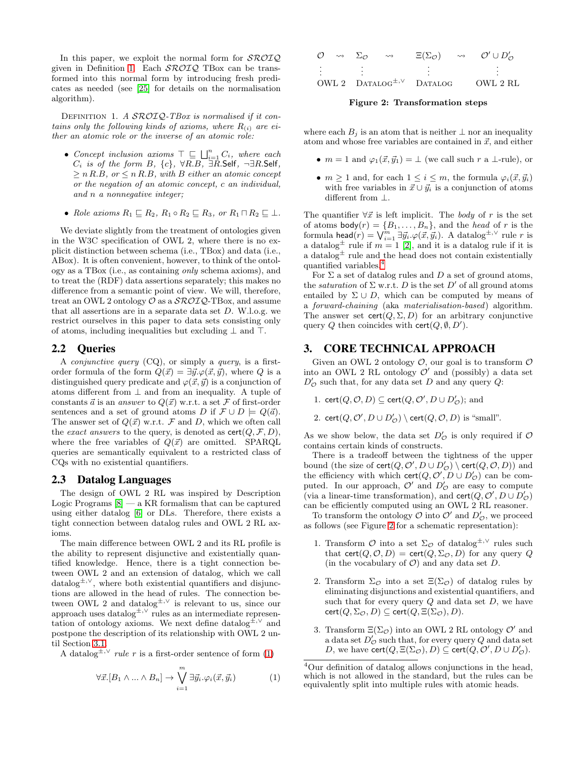In this paper, we exploit the normal form for  $\mathcal{SROIQ}$ given in Definition [1.](#page-2-0) Each  $\mathcal{SROIQ}$  TBox can be transformed into this normal form by introducing fresh predicates as needed (see [\[25\]](#page-10-8) for details on the normalisation algorithm).

<span id="page-2-0"></span>DEFINITION 1. A SROIQ-TBox is normalised if it contains only the following kinds of axioms, where  $R_{(i)}$  are either an atomic role or the inverse of an atomic role:

- Concept inclusion axioms  $\top \sqsubseteq \bigsqcup_{i=1}^n C_i$ , where each  $C_i$  is of the form B,  $\{c\}$ ,  $\forall R.B$ ,  $\exists R.S$ elf,  $\neg \exists R.S$ elf,  $\geq n R.B$ , or  $\leq n R.B$ , with B either an atomic concept or the negation of an atomic concept, c an individual, and n a nonnegative integer;
- Role axioms  $R_1 \sqsubseteq R_2$ ,  $R_1 \circ R_2 \sqsubseteq R_3$ , or  $R_1 \sqcap R_2 \sqsubseteq \bot$ .

We deviate slightly from the treatment of ontologies given in the W3C specification of OWL 2, where there is no explicit distinction between schema (i.e., TBox) and data (i.e., ABox). It is often convenient, however, to think of the ontology as a TBox (i.e., as containing only schema axioms), and to treat the (RDF) data assertions separately; this makes no difference from a semantic point of view. We will, therefore, treat an OWL 2 ontology  $\mathcal O$  as a  $\mathcal{SROIQ}\text{-}\mathrm{TBox}$ , and assume that all assertions are in a separate data set  $D$ . W.l.o.g. we restrict ourselves in this paper to data sets consisting only of atoms, including inequalities but excluding  $\perp$  and  $\top$ .

## **2.2 Queries**

A *conjunctive query*  $(CQ)$ , or simply a *query*, is a firstorder formula of the form  $Q(\vec{x}) = \exists \vec{y}.\varphi(\vec{x}, \vec{y})$ , where Q is a distinguished query predicate and  $\varphi(\vec{x}, \vec{y})$  is a conjunction of atoms different from  $\perp$  and from an inequality. A tuple of constants  $\vec{a}$  is an answer to  $Q(\vec{x})$  w.r.t. a set F of first-order sentences and a set of ground atoms D if  $\mathcal{F} \cup D \models Q(\vec{a})$ . The answer set of  $Q(\vec{x})$  w.r.t. F and D, which we often call the *exact answers* to the query, is denoted as  $\text{cert}(Q, \mathcal{F}, D)$ , where the free variables of  $Q(\vec{x})$  are omitted. SPARQL queries are semantically equivalent to a restricted class of CQs with no existential quantifiers.

#### **2.3 Datalog Languages**

The design of OWL 2 RL was inspired by Description Logic Programs  $[8]$  — a KR formalism that can be captured using either datalog [\[6\]](#page-9-8) or DLs. Therefore, there exists a tight connection between datalog rules and OWL 2 RL axioms.

The main difference between OWL 2 and its RL profile is the ability to represent disjunctive and existentially quantified knowledge. Hence, there is a tight connection between OWL 2 and an extension of datalog, which we call datalog<sup>±,∨</sup>, where both existential quantifiers and disjunctions are allowed in the head of rules. The connection between OWL 2 and datalog<sup> $\pm$ ,∨</sup> is relevant to us, since our approach uses datalog<sup>±,∨</sup> rules as an intermediate representation of ontology axioms. We next define datalog<sup> $\pm$ , $\vee$ </sup> and postpone the description of its relationship with OWL 2 until Section [3.1.](#page-3-0)

A datalog<sup> $\pm$ , $\vee$ </sup> *rule r* is a first-order sentence of form [\(1\)](#page-2-1)

<span id="page-2-1"></span>
$$
\forall \vec{x}. [B_1 \land \ldots \land B_n] \to \bigvee_{i=1}^m \exists \vec{y}_i. \varphi_i(\vec{x}, \vec{y}_i) \tag{1}
$$

| O | $\rightsquigarrow \quad \Sigma \circ$ | $\rightsquigarrow$ | $\Xi(\Sigma_{\mathcal{O}})$        | $\rightsquigarrow$ | $\mathcal{O}' \cup D'_{\mathcal{O}}$ |
|---|---------------------------------------|--------------------|------------------------------------|--------------------|--------------------------------------|
|   |                                       |                    |                                    |                    |                                      |
|   |                                       |                    |                                    |                    |                                      |
|   |                                       |                    |                                    |                    |                                      |
|   |                                       |                    | OWL 2 $DATALOG^{\pm,\vee}$ DATALOG |                    | OWL 2 RL                             |

<span id="page-2-3"></span>Figure 2: Transformation steps

where each  $B_i$  is an atom that is neither  $\perp$  nor an inequality atom and whose free variables are contained in  $\vec{x}$ , and either

- $m = 1$  and  $\varphi_1(\vec{x}, \vec{y}_1) = \perp$  (we call such r a  $\perp$ -rule), or
- $m \geq 1$  and, for each  $1 \leq i \leq m$ , the formula  $\varphi_i(\vec{x}, \vec{y}_i)$ with free variables in  $\vec{x} \cup \vec{y}_i$  is a conjunction of atoms different from ⊥.

The quantifier  $\forall \vec{x}$  is left implicit. The body of r is the set of atoms  $\text{body}(r) = \{B_1, \ldots, B_n\}$ , and the *head* of r is the formula head $(r) = \bigvee_{i=1}^{m} \exists \vec{y_i} . \varphi(\vec{x}, \vec{y_i}).$  A datalog<sup> $\pm, \vee$ </sup> rule  $r$  is a datalog<sup> $\pm$ </sup> rule if  $m = 1$  [\[2\]](#page-9-9), and it is a datalog rule if it is a datalog  $\pm$  rule and the head does not contain existentially quantified variables.[4](#page-2-2)

For  $\Sigma$  a set of datalog rules and D a set of ground atoms, the *saturation* of  $\Sigma$  w.r.t. D is the set D' of all ground atoms entailed by  $\Sigma \cup D$ , which can be computed by means of a forward-chaining (aka materialisation-based) algorithm. The answer set  $\text{cert}(Q, \Sigma, D)$  for an arbitrary conjunctive query Q then coincides with  $\text{cert}(Q, \emptyset, D')$ .

## **3. CORE TECHNICAL APPROACH**

Given an OWL 2 ontology  $\mathcal{O}$ , our goal is to transform  $\mathcal O$ into an OWL 2 RL ontology  $\mathcal{O}'$  and (possibly) a data set  $D'_{\mathcal{O}}$  such that, for any data set  $D$  and any query  $Q$ :

1. cert $(Q, \mathcal{O}, D) \subseteq \text{cert}(Q, \mathcal{O}', D \cup D'_{\mathcal{O}});$  and

2. cert $(Q, \mathcal{O}', D \cup D'_{\mathcal{O}}) \setminus \text{cert}(Q, \mathcal{O}, D)$  is "small".

As we show below, the data set  $D'_{\mathcal{O}}$  is only required if  $\mathcal O$ contains certain kinds of constructs.

There is a tradeoff between the tightness of the upper bound (the size of  $\mathsf{cert}(Q, \mathcal{O}', D \cup D'_{\mathcal{O}}) \setminus \mathsf{cert}(Q, \mathcal{O}, D))$  and the efficiency with which  $\textsf{cert}(Q, \mathcal{O}', D \cup D'_{\mathcal{O}})$  can be computed. In our approach,  $\mathcal{O}'$  and  $D'_{\mathcal{O}}$  are easy to compute (via a linear-time transformation), and  $\textsf{cert}(Q, Q', D \cup D'_Q)$ can be efficiently computed using an OWL 2 RL reasoner.

To transform the ontology  $\mathcal O$  into  $\mathcal O'$  and  $D'_{\mathcal O}$ , we proceed as follows (see Figure [2](#page-2-3) for a schematic representation):

- 1. Transform  $\mathcal O$  into a set  $\Sigma_{\mathcal O}$  of datalog<sup> $\pm, \vee$ </sup> rules such that cert $(Q, \mathcal{O}, D)$  = cert $(Q, \Sigma_{\mathcal{O}}, D)$  for any query Q (in the vocabulary of  $\mathcal{O}$ ) and any data set D.
- 2. Transform  $\Sigma_{\mathcal{O}}$  into a set  $\Xi(\Sigma_{\mathcal{O}})$  of datalog rules by eliminating disjunctions and existential quantifiers, and such that for every query  $Q$  and data set  $D$ , we have  $cert(Q, \Sigma_{\mathcal{O}}, D) \subseteq cert(Q, \Xi(\Sigma_{\mathcal{O}}), D).$
- 3. Transform  $\Xi(\Sigma_{\mathcal{O}})$  into an OWL 2 RL ontology  $\mathcal{O}'$  and a data set  $D'_\mathcal{O}$  such that, for every query  $Q$  and data set D, we have  $\text{cert}(Q, \Xi(\Sigma_{\mathcal{O}}), D) \subseteq \text{cert}(Q, \mathcal{O}', D \cup D'_{\mathcal{O}}).$

<span id="page-2-2"></span><sup>4</sup>Our definition of datalog allows conjunctions in the head, which is not allowed in the standard, but the rules can be equivalently split into multiple rules with atomic heads.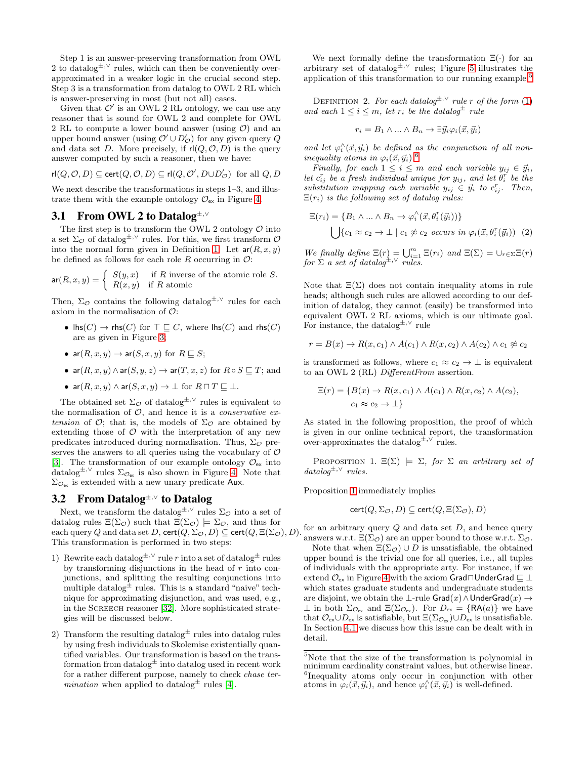Step 1 is an answer-preserving transformation from OWL 2 to datalog<sup> $\pm$ ,∨</sup> rules, which can then be conveniently overapproximated in a weaker logic in the crucial second step. Step 3 is a transformation from datalog to OWL 2 RL which is answer-preserving in most (but not all) cases.

Given that  $\mathcal{O}'$  is an OWL 2 RL ontology, we can use any reasoner that is sound for OWL 2 and complete for OWL 2 RL to compute a lower bound answer (using  $\mathcal{O}$ ) and an upper bound answer (using  $\mathcal{O}' \cup D'_{\mathcal{O}}$ ) for any given query  $Q$ and data set D. More precisely, if  $r|(Q, O, D)$  is the query answer computed by such a reasoner, then we have:

$$
\mathrm{rl}(Q,\mathcal{O},D)\subseteq\mathrm{cert}(Q,\mathcal{O},D)\subseteq\mathrm{rl}(Q,\mathcal{O}',D\cup D'_\mathcal{O})\ \ \text{for all}\ Q,D
$$

We next describe the transformations in steps  $1-3$ , and illustrate them with the example ontology  $\mathcal{O}_{\mathsf{ex}}$  in Figure [4.](#page-4-0)

### <span id="page-3-0"></span>**3.1 From OWL 2 to Datalog**±,<sup>∨</sup>

The first step is to transform the OWL 2 ontology  $\mathcal O$  into a set  $\Sigma_{\mathcal{O}}$  of datalog<sup>±,∨</sup> rules. For this, we first transform  $\mathcal{O}$ into the normal form given in Definition [1.](#page-2-0) Let  $ar(R, x, y)$ be defined as follows for each role R occurring in  $\mathcal{O}$ :

$$
\mathsf{ar}(R, x, y) = \begin{cases} S(y, x) & \text{if } R \text{ inverse of the atomic role } S, \\ R(x, y) & \text{if } R \text{ atomic} \end{cases}
$$

Then,  $\Sigma_{\mathcal{O}}$  contains the following datalog<sup>±,∨</sup> rules for each axiom in the normalisation of  $\mathcal{O}$ :

- $\textsf{Ins}(C) \to \textsf{rhs}(C)$  for  $\top \sqsubseteq C$ , where  $\textsf{Ins}(C)$  and  $\textsf{rhs}(C)$ are as given in Figure [3;](#page-4-1)
- ar $(R, x, y) \rightarrow$  ar $(S, x, y)$  for  $R \sqsubseteq S$ ;
- $ar(R, x, y) \land ar(S, y, z) \rightarrow ar(T, x, z)$  for  $R \circ S \sqsubseteq T$ ; and

• 
$$
\operatorname{ar}(R, x, y) \land \operatorname{ar}(S, x, y) \to \bot
$$
 for  $R \sqcap T \sqsubseteq \bot$ .

The obtained set  $\Sigma_{\mathcal{O}}$  of datalog<sup>±,∨</sup> rules is equivalent to the normalisation of  $O$ , and hence it is a *conservative ex*tension of  $\mathcal{O}$ ; that is, the models of  $\Sigma_{\mathcal{O}}$  are obtained by extending those of  $\mathcal O$  with the interpretation of any new predicates introduced during normalisation. Thus,  $\Sigma_{\mathcal{O}}$  preserves the answers to all queries using the vocabulary of  $\mathcal O$ [\[3\]](#page-9-10). The transformation of our example ontology  $\mathcal{O}_{\mathsf{ex}}$  into datalog<sup>±,∨</sup> rules  $\Sigma_{\mathcal{O}_{ex}}$  is also shown in Figure [4.](#page-4-0) Note that  $\Sigma_{\mathcal{O}_{\mathsf{ev}}}$  is extended with a new unary predicate Aux.

## <span id="page-3-5"></span>**3.2 From Datalog**±,<sup>∨</sup> **to Datalog**

Next, we transform the datalog<sup> $\pm$ ,∨</sup> rules  $\Sigma_{\mathcal{O}}$  into a set of datalog rules  $\Xi(\Sigma_{\mathcal{O}})$  such that  $\Xi(\Sigma_{\mathcal{O}}) \models \Sigma_{\mathcal{O}}$ , and thus for each query Q and data set D, cert $(Q, \Sigma_{\mathcal{O}}, D) \subseteq$  cert $(Q, \Xi(\Sigma_{\mathcal{O}}), D)$ . This transformation is performed in two steps:

- 1) Rewrite each datalog<sup> $\pm$ , $\vee$ </sup> rule r into a set of datalog<sup> $\pm$ </sup> rules by transforming disjunctions in the head of  $r$  into conjunctions, and splitting the resulting conjunctions into multiple datalog $\pm$  rules. This is a standard "naive" technique for approximating disjunction, and was used, e.g., in the Screech reasoner [\[32\]](#page-10-12). More sophisticated strategies will be discussed below.
- 2) Transform the resulting datalog $\pm$  rules into datalog rules by using fresh individuals to Skolemise existentially quantified variables. Our transformation is based on the transformation from datalog $\pm$  into datalog used in recent work for a rather different purpose, namely to check chase ter*mination* when applied to datalog<sup> $\pm$ </sup> rules [\[4\]](#page-9-11).

<span id="page-3-4"></span>We next formally define the transformation  $\Xi(\cdot)$  for an arbitrary set of datalog<sup> $\pm$ ,∨</sup> rules; Figure [5](#page-5-0) illustrates the application of this transformation to our running example.[5](#page-3-1)

DEFINITION 2. For each datalog<sup> $\pm$ ,∨</sup> rule r of the form [\(1\)](#page-2-1) and each  $1 \leq i \leq m$ , let  $r_i$  be the datalog<sup> $\pm$ </sup> rule

$$
r_i = B_1 \wedge \ldots \wedge B_n \to \exists \vec{y}_i \varphi_i(\vec{x}, \vec{y}_i)
$$

and let  $\varphi_i^{\wedge}(\vec{x}, \vec{y}_i)$  be defined as the conjunction of all noninequality atoms in  $\varphi_i(\vec{x}, \vec{y}_i)$ .<sup>[6](#page-3-2)</sup>

Finally, for each  $1 \leq i \leq m$  and each variable  $y_{ij} \in \vec{y}_i$ , let  $c_{ij}^r$  be a fresh individual unique for  $y_{ij}$ , and let  $\theta_i^r$  be the substitution mapping each variable  $y_{ij} \in \vec{y}_i$  to  $c_{ij}^r$ . Then,  $\Xi(r_i)$  is the following set of datalog rules:

$$
\Xi(r_i) = \{B_1 \wedge \ldots \wedge B_n \to \varphi_i^{\wedge}(\vec{x}, \theta_i^r(\vec{y}_i))\}
$$
  

$$
\bigcup \{c_1 \approx c_2 \to \bot \mid c_1 \not\approx c_2 \text{ occurs in } \varphi_i(\vec{x}, \theta_i^r(\vec{y}_i)) \quad (2)
$$

We finally define  $\Xi(r) = \bigcup_{i=1}^m \Xi(r_i)$  and  $\Xi(\Sigma) = \bigcup_{r \in \Sigma} \Xi(r)$ for  $\Sigma$  a set of datalog<sup> $\pm, \vee$ </sup> rules.

Note that  $\Xi(\Sigma)$  does not contain inequality atoms in rule heads; although such rules are allowed according to our definition of datalog, they cannot (easily) be transformed into equivalent OWL 2 RL axioms, which is our ultimate goal. For instance, the datalog<sup> $\pm, \vee$ </sup> rule

$$
r = B(x) \rightarrow R(x, c_1) \land A(c_1) \land R(x, c_2) \land A(c_2) \land c_1 \not\approx c_2
$$

is transformed as follows, where  $c_1 \approx c_2 \rightarrow \perp$  is equivalent to an OWL 2 (RL) DifferentFrom assertion.

$$
\Xi(r) = \{B(x) \to R(x, c_1) \land A(c_1) \land R(x, c_2) \land A(c_2),
$$
  

$$
c_1 \approx c_2 \to \bot\}
$$

As stated in the following proposition, the proof of which is given in our online technical report, the transformation over-approximates the datalog<sup> $\pm$ , $\vee$ </sup> rules.

PROPOSITION 1.  $\Xi(\Sigma) \models \Sigma$ , for  $\Sigma$  an arbitrary set of  $datalog^{\pm, \vee}$  rules.

Proposition [1](#page-3-3) immediately implies

<span id="page-3-3"></span>
$$
\mathsf{cert}(Q, \Sigma_{\mathcal{O}}, D) \subseteq \mathsf{cert}(Q, \Xi(\Sigma_{\mathcal{O}}), D)
$$

for an arbitrary query  $Q$  and data set  $D$ , and hence query answers w.r.t.  $\Xi(\Sigma_{\mathcal{O}})$  are an upper bound to those w.r.t.  $\Sigma_{\mathcal{O}}$ .

Note that when  $\Xi(\Sigma_{\mathcal{O}}) \cup D$  is unsatisfiable, the obtained upper bound is the trivial one for all queries, i.e., all tuples of individuals with the appropriate arty. For instance, if we extend  $\mathcal{O}_{\mathsf{ex}}$  in Figure [4](#page-4-0) with the axiom Grad $\Box$ UnderGrad  $\Box$  ⊥ which states graduate students and undergraduate students are disjoint, we obtain the ⊥-rule  $Grad(x) \wedge UnderGrad(x) \rightarrow$  $\perp$  in both  $\Sigma_{\mathcal{O}_{\text{ex}}}$  and  $\Xi(\Sigma_{\mathcal{O}_{\text{ex}}})$ . For  $D_{\text{ex}} = \{RA(a)\}\$ we have that  $\mathcal{O}_{\mathsf{ex}} \cup D_{\mathsf{ex}}$  is satisfiable, but  $\Xi(\Sigma_{\mathcal{O}_{\mathsf{ex}}}) \cup D_{\mathsf{ex}}$  is unsatisfiable. In Section [4.1](#page-6-0) we discuss how this issue can be dealt with in detail.

<span id="page-3-2"></span><span id="page-3-1"></span> $5$ Note that the size of the transformation is polynomial in minimum cardinality constraint values, but otherwise linear. 6 Inequality atoms only occur in conjunction with other atoms in  $\varphi_i(\vec{x}, \vec{y}_i)$ , and hence  $\varphi_i^{\wedge}(\vec{x}, \vec{y}_i)$  is well-defined.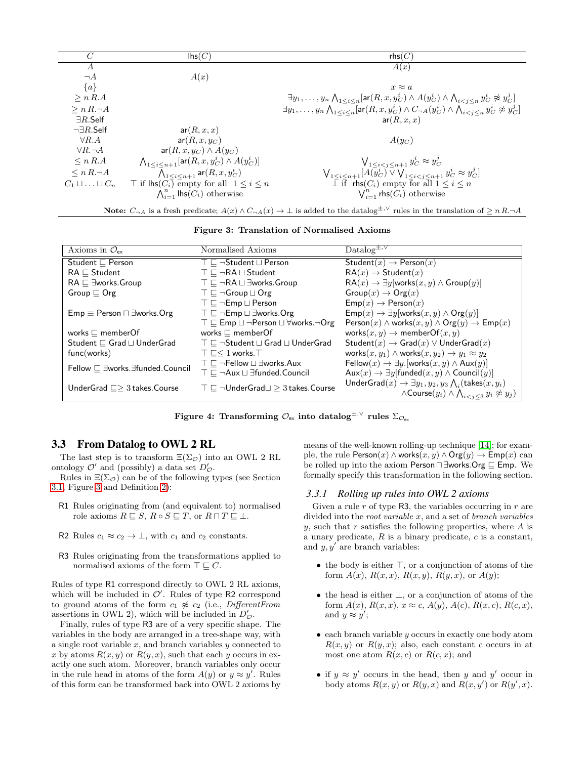| C                              | $\mathsf{Ins}(C)$                                                        | rbs(C)                                                                                                                                               |
|--------------------------------|--------------------------------------------------------------------------|------------------------------------------------------------------------------------------------------------------------------------------------------|
| А                              |                                                                          | A(x)                                                                                                                                                 |
| $\neg A$                       | A(x)                                                                     |                                                                                                                                                      |
| ${a}$                          |                                                                          | $x \approx a$                                                                                                                                        |
| > n R.A                        |                                                                          | $\exists y_1,\ldots,y_n\bigwedge_{1\leq i\leq n}[\textsf{ar}(R,x,y^i_C)\wedge A(y^i_C)\wedge \bigwedge_{i\leq j\leq n}y^i_C\not\approx y^j_C]$       |
| $\geq n R. \neg A$             |                                                                          | $\exists y_1,\ldots,y_n\bigwedge_{1\leq i\leq n}[\textsf{ar}(R,x,y^i_C)\wedge C_{\neg A}(y^i_C)\wedge \bigwedge_{i< i\leq n}y^i_C\not\approx y^j_C]$ |
| $\exists R$ .Self              |                                                                          | ar(R, x, x)                                                                                                                                          |
| $\neg \exists R.\mathsf{Self}$ | ar(R, x, x)                                                              |                                                                                                                                                      |
| $\forall R.A$                  | $ar(R, x, y_C)$                                                          | $A(y_C)$                                                                                                                                             |
| $\forall R.\neg A$             | $ar(R, x, y_C) \wedge A(y_C)$                                            |                                                                                                                                                      |
| $\leq n R.A$                   | $\bigwedge_{1 \leq i \leq n+1} [\text{ar}(R, x, y_C^i) \wedge A(y_C^i)]$ | $\bigvee_{1 \leq i \leq j \leq n+1} y_C^i \approx y_C^j$                                                                                             |
| $\leq n R. \neg A$             | $\bigwedge_{1 \leq i \leq n+1}$ ar $(R, x, y_C^i)$                       | $\bigvee_{1 \leq i \leq n+1} [A(y_C^i) \vee \bigvee_{1 \leq i \leq j \leq n+1} y_C^i \approx y_C^j]$                                                 |
| $C_1 \sqcup \ldots \sqcup C_n$ | $\top$ if $\textsf{Ins}(C_i)$ empty for all $1 \leq i \leq n$            | $\overline{\perp}$ if rhs $(C_i)$ empty for all $1 \leq i \leq n$                                                                                    |
|                                | $\bigwedge_{i=1}^n$ lhs $(C_i)$ otherwise                                | $\bigvee_{i=1}^{n}$ rhs $(C_i)$ otherwise                                                                                                            |

Note:  $C_{\neg A}$  is a fresh predicate;  $A(x) \wedge C_{\neg A}(x) \to \bot$  is added to the datalog<sup>±,∨</sup> rules in the translation of  $\geq n R.\neg A$ 

<span id="page-4-1"></span>Figure 3: Translation of Normalised Axioms

| Axioms in $\mathcal{O}_{\mathsf{ex}}$         | Normalised Axioms                                                             | $Datalog^{\pm,\vee}$                                                                 |
|-----------------------------------------------|-------------------------------------------------------------------------------|--------------------------------------------------------------------------------------|
| Student $\sqsubset$ Person                    | $\top \sqsubset \neg$ Student $\sqcup$ Person                                 | Student $(x) \rightarrow$ Person $(x)$                                               |
| $RA \sqsubset$ Student                        | $\top \sqsubset \neg R A \sqcup$ Student                                      | $RA(x) \rightarrow Student(x)$                                                       |
| $RA \sqsubset \exists$ works.Group            | $\top \sqsubset \neg RA \sqcup \exists \text{works.Group}$                    | $RA(x) \rightarrow \exists y$ [works $(x, y) \land Group(y)$ ]                       |
| Group $\sqsubset$ Org                         | $\top \sqsubset \neg$ Group $\sqcup$ Org                                      | $Group(x)\rightarrow{Org(x)}$                                                        |
|                                               | $\top \sqsubset \neg \mathsf{Emp} \sqcup \mathsf{Person}$                     | $\mathsf{Emp}(x) \to \mathsf{Person}(x)$                                             |
| $Emp \equiv Person \sqcap \exists works.Org$  | $\top \sqsubset \neg \mathsf{Emp} \sqcup \exists \mathsf{works}.\mathsf{Org}$ | $\mathsf{Emp}(x) \to \exists y$ [works $(x, y) \land \mathsf{Org}(y)$ ]              |
|                                               | $\top \sqsubset$ Emp $\sqcup \neg$ Person $\sqcup \forall$ works. $\neg$ Org  | Person $(x) \wedge$ works $(x, y) \wedge$ Org $(y) \rightarrow$ Emp $(x)$            |
| works $\sqsubset$ member Of                   | works $\sqsubset$ member Of                                                   | works $(x, y) \rightarrow$ memberOf $(x, y)$                                         |
| Student $\sqsubseteq$ Grad $\sqcup$ UnderGrad | $\top \sqsubset \neg$ Student $\sqcup$ Grad $\sqcup$ UnderGrad                | Student $(x) \rightarrow$ Grad $(x) \vee$ UnderGrad $(x)$                            |
| func(words)                                   | $\top \sqsubset < 1$ works. $\top$                                            | works $(x, y_1) \wedge$ works $(x, y_2) \rightarrow y_1 \approx y_2$                 |
| Fellow □ ∃works. Efunded. Council             | $\top \sqsubset \neg$ Fellow $\sqcup \exists$ works.Aux                       | Fellow $(x) \rightarrow \exists y$ . [works $(x, y) \wedge \text{Aux}(y)$ ]          |
|                                               | $\top \sqsubset \neg$ Aux $\sqcup \exists$ funded. Council                    | $Aux(x) \rightarrow \exists y$ [funded $(x, y) \wedge$ Council $(y)$ ]               |
| UnderGrad $\Box$ 3 takes. Course              | $\top \sqsubseteq \neg$ UnderGrad $\sqcup \geq 3$ takes. Course               | UnderGrad $(x) \rightarrow \exists y_1, y_2, y_3 \bigwedge_i (\text{takes}(x, y_i))$ |
|                                               |                                                                               | $\wedge$ Course $(y_i) \wedge \bigwedge_{i < j < 3} y_i \not\approx y_j$ )           |

<span id="page-4-0"></span>Figure 4: Transforming  $\mathcal{O}_{\rm ex}$  into datalog $^{\pm,\vee}$  rules  $\Sigma_{\mathcal{O}_{\rm ex}}$ 

## **3.3 From Datalog to OWL 2 RL**

The last step is to transform  $\Xi(\Sigma_{\mathcal{O}})$  into an OWL 2 RL ontology  $\mathcal{O}'$  and (possibly) a data set  $D'_{\mathcal{O}}$ .

Rules in  $\Xi(\Sigma_{\mathcal{O}})$  can be of the following types (see Section [3.1,](#page-3-0) Figure [3](#page-4-1) and Definition [2\)](#page-3-4):

- R1 Rules originating from (and equivalent to) normalised role axioms  $R \sqsubseteq S$ ,  $R \circ S \sqsubseteq T$ , or  $R \sqcap T \sqsubseteq \bot$ .
- R2 Rules  $c_1 \approx c_2 \to \perp$ , with  $c_1$  and  $c_2$  constants.
- R3 Rules originating from the transformations applied to normalised axioms of the form  $\top \sqsubseteq C$ .

Rules of type R1 correspond directly to OWL 2 RL axioms, which will be included in  $\mathcal{O}'$ . Rules of type R2 correspond to ground atoms of the form  $c_1 \not\approx c_2$  (i.e., DifferentFrom assertions in OWL 2), which will be included in  $D'_{\mathcal{O}}$ .

Finally, rules of type R3 are of a very specific shape. The variables in the body are arranged in a tree-shape way, with a single root variable  $x$ , and branch variables  $y$  connected to x by atoms  $R(x, y)$  or  $R(y, x)$ , such that each y occurs in exactly one such atom. Moreover, branch variables only occur in the rule head in atoms of the form  $A(y)$  or  $y \approx y'$ . Rules of this form can be transformed back into OWL 2 axioms by means of the well-known rolling-up technique [\[14\]](#page-9-12); for example, the rule  $Person(x) \wedge works(x, y) \wedge Org(y) \rightarrow Emp(x)$  can be rolled up into the axiom Person⊓ ∃works.Org ⊑ Emp. We formally specify this transformation in the following section.

#### *3.3.1 Rolling up rules into OWL 2 axioms*

Given a rule  $r$  of type R3, the variables occurring in  $r$  are divided into the root variable  $x$ , and a set of branch variables  $y$ , such that  $r$  satisfies the following properties, where  $A$  is a unary predicate,  $R$  is a binary predicate,  $c$  is a constant, and  $y, y'$  are branch variables:

- the body is either ⊤, or a conjunction of atoms of the form  $A(x)$ ,  $R(x, x)$ ,  $R(x, y)$ ,  $R(y, x)$ , or  $A(y)$ ;
- the head is either ⊥, or a conjunction of atoms of the form  $A(x)$ ,  $R(x, x)$ ,  $x \approx c$ ,  $A(y)$ ,  $A(c)$ ,  $R(x, c)$ ,  $R(c, x)$ , and  $y \approx y'$ ;
- $\bullet$  each branch variable y occurs in exactly one body atom  $R(x, y)$  or  $R(y, x)$ ; also, each constant c occurs in at most one atom  $R(x, c)$  or  $R(c, x)$ ; and
- if  $y \approx y'$  occurs in the head, then y and y' occur in body atoms  $R(x, y)$  or  $R(y, x)$  and  $R(x, y')$  or  $R(y', x)$ .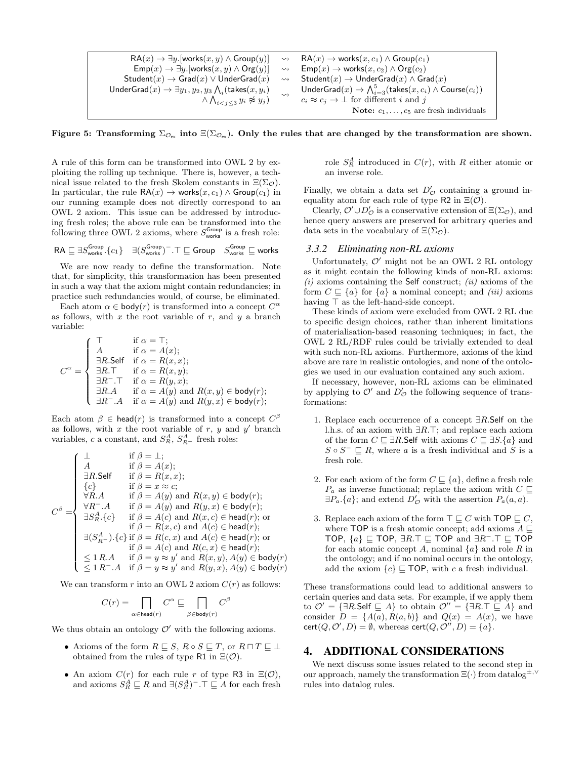$$
\begin{array}{ccc} \mathsf{RA}(x) \rightarrow \exists y . [\mathsf{works}(x,y) \wedge \mathsf{Group}(y)] & \rightsquigarrow & \mathsf{RA}(x) \rightarrow \mathsf{works}(x,c_1) \wedge \mathsf{Group}(c_1) \\ \mathsf{Emp}(x) \rightarrow \exists y . [\mathsf{works}(x,y) \wedge \mathsf{Org}(y)] & \rightsquigarrow & \mathsf{Emp}(x) \rightarrow \mathsf{works}(x,c_2) \wedge \mathsf{Org}(c_2) \\ \mathsf{Student}(x) \rightarrow \mathsf{Grad}(x) \vee \mathsf{UnderGrad}(x) & \rightsquigarrow & \mathsf{Student}(x) \rightarrow \mathsf{UnderGrad}(x) \wedge \mathsf{Grad}(x) \\ \mathsf{UnderGrad}(x) \rightarrow \exists y_1, y_2, y_3 \wedge_i (\mathsf{takes}(x,y_i) & \rightsquigarrow & \mathsf{UnderGrad}(x) \rightarrow \bigwedge_{i=3}^5 (\mathsf{takes}(x,c_i) \wedge \mathsf{Course}(c_i)) \\ & \wedge \bigwedge_{i < j \leq 3} y_i \not\approx y_j & c_i \approx c_j \rightarrow \bot \text{ for different } i \text{ and } j \\ & \mathsf{Note:} \ c_1, \ldots, c_5 \text{ are fresh individuals} \end{array}
$$

<span id="page-5-0"></span>Figure 5: Transforming  $\Sigma_{\mathcal{O}_{\text{ex}}}$  into  $\Xi(\Sigma_{\mathcal{O}_{\text{ex}}})$ . Only the rules that are changed by the transformation are shown.

A rule of this form can be transformed into OWL 2 by exploiting the rolling up technique. There is, however, a technical issue related to the fresh Skolem constants in  $\Xi(\Sigma_{\mathcal{O}})$ . In particular, the rule  $\mathsf{RA}(x) \to \mathsf{works}(x, c_1) \land \mathsf{Group}(c_1)$  in our running example does not directly correspond to an OWL 2 axiom. This issue can be addressed by introducing fresh roles; the above rule can be transformed into the following three OWL 2 axioms, where  $S_{\text{works}}^{\text{Group}}$  is a fresh role:

$$
\mathsf{RA} \sqsubseteq \exists S_\mathsf{works}^\mathsf{Group}.\{c_1\} \quad \exists (S_\mathsf{works}^\mathsf{Group})^- . \top \sqsubseteq \mathsf{Group} \quad S_\mathsf{works}^\mathsf{Group} \sqsubseteq \mathsf{works}
$$

We are now ready to define the transformation. Note that, for simplicity, this transformation has been presented in such a way that the axiom might contain redundancies; in practice such redundancies would, of course, be eliminated.

Each atom  $\alpha \in \text{body}(r)$  is transformed into a concept  $C^{\alpha}$ as follows, with  $x$  the root variable of  $r$ , and  $y$  a branch variable:

$$
C^{\alpha} = \begin{cases} \top & \text{if } \alpha = \top; \\ A & \text{if } \alpha = A(x); \\ \exists R.\mathsf{Self} & \text{if } \alpha = R(x, x); \\ \exists R.\top & \text{if } \alpha = R(x, y); \\ \exists R^-\top & \text{if } \alpha = R(y, x); \\ \exists R.A & \text{if } \alpha = A(y) \text{ and } R(x, y) \in \mathsf{body}(r); \\ \exists R^-\Lambda & \text{if } \alpha = A(y) \text{ and } R(y, x) \in \mathsf{body}(r); \end{cases}
$$

Each atom  $\beta \in \mathsf{head}(r)$  is transformed into a concept  $C^{\beta}$ as follows, with  $x$  the root variable of  $r, y$  and  $y'$  branch variables, c a constant, and  $S_R^A$ ,  $S_{R-}^A$  fresh roles:

$$
C^{\beta} = \begin{cases} \bot & \text{if } \beta = \bot; \\ A & \text{if } \beta = A(x); \\ \exists R.\mathsf{Self} & \text{if } \beta = R(x, x); \\ \{c\} & \text{if } \beta = x \approx c; \\ \forall R.A & \text{if } \beta = A(y) \text{ and } R(x, y) \in \mathsf{body}(r); \\ \forall R^{-}.A & \text{if } \beta = A(y) \text{ and } R(y, x) \in \mathsf{body}(r); \\ \exists S^A_R.\{c\} & \text{if } \beta = A(c) \text{ and } R(x, c) \in \mathsf{head}(r); \text{or} \\ \exists (S^A_{R-}).\{c\} \text{ if } \beta = R(x, c) \text{ and } A(c) \in \mathsf{head}(r); \\ \exists (S^A_{R-}).\{c\} \text{ if } \beta = R(c, x) \text{ and } A(c) \in \mathsf{head}(r); \\ \exists (S^A_{R-}).\{c\} \text{ if } \beta = A(c) \text{ and } R(c, x) \in \mathsf{head}(r); \\ \leq 1 \, R.A & \text{if } \beta = y \approx y' \text{ and } R(x, y), A(y) \in \mathsf{body}(r) \\ \leq 1 \, R^{-}.A & \text{if } \beta = y \approx y' \text{ and } R(y, x), A(y) \in \mathsf{body}(r) \end{cases}
$$

We can transform r into an OWL 2 axiom  $C(r)$  as follows:

$$
C(r) = \prod_{\alpha \in \text{head}(r)} C^{\alpha} \sqsubseteq \prod_{\beta \in \text{body}(r)} C^{\beta}
$$

We thus obtain an ontology  $\mathcal{O}'$  with the following axioms.

- Axioms of the form  $R \sqsubseteq S$ ,  $R \circ S \sqsubseteq T$ , or  $R \sqcap T \sqsubseteq \bot$ obtained from the rules of type R1 in  $\Xi(\mathcal{O})$ .
- An axiom  $C(r)$  for each rule r of type R3 in  $\Xi(\mathcal{O})$ , and axioms  $S_R^A \sqsubseteq R$  and  $\exists (S_R^A)^- . \top \sqsubseteq A$  for each fresh

role  $S_R^A$  introduced in  $C(r)$ , with R either atomic or an inverse role.

Finally, we obtain a data set  $D'_{\mathcal{O}}$  containing a ground inequality atom for each rule of type R2 in  $\Xi(\mathcal{O})$ .

Clearly,  $\mathcal{O}' \cup D'_{\mathcal{O}}$  is a conservative extension of  $\Xi(\Sigma_{\mathcal{O}})$ , and hence query answers are preserved for arbitrary queries and data sets in the vocabulary of  $\Xi(\Sigma_{\mathcal{O}})$ .

#### *3.3.2 Eliminating non-RL axioms*

Unfortunately,  $O'$  might not be an OWL 2 RL ontology as it might contain the following kinds of non-RL axioms:  $(i)$  axioms containing the Self construct;  $(ii)$  axioms of the form  $C \subseteq \{a\}$  for  $\{a\}$  a nominal concept; and *(iii)* axioms having  $\top$  as the left-hand-side concept.

These kinds of axiom were excluded from OWL 2 RL due to specific design choices, rather than inherent limitations of materialisation-based reasoning techniques; in fact, the OWL 2 RL/RDF rules could be trivially extended to deal with such non-RL axioms. Furthermore, axioms of the kind above are rare in realistic ontologies, and none of the ontologies we used in our evaluation contained any such axiom.

If necessary, however, non-RL axioms can be eliminated by applying to  $\mathcal{O}'$  and  $D'_{\mathcal{O}}$  the following sequence of transformations:

- 1. Replace each occurrence of a concept  $\exists R$ . Self on the l.h.s. of an axiom with ∃R.⊤; and replace each axiom of the form  $C \sqsubseteq \exists R$ . Self with axioms  $C \sqsubseteq \exists S$ .  $\{a\}$  and  $S \circ S^{-} \sqsubseteq R$ , where a is a fresh individual and S is a fresh role.
- 2. For each axiom of the form  $C \subseteq \{a\}$ , define a fresh role  $P_a$  as inverse functional; replace the axiom with  $C \sqsubseteq$  $\exists P_a.\{a\};$  and extend  $D'_\mathcal{O}$  with the assertion  $P_a(a,a)$ .
- 3. Replace each axiom of the form  $\top \sqsubseteq C$  with TOP  $\sqsubseteq C$ , where TOP is a fresh atomic concept; add axioms  $A \sqsubset$ TOP,  $\{a\} \sqsubseteq \text{TOP}, \exists R.\top \sqsubseteq \text{TOP} \text{ and } \exists R^{\perp}.\top \sqsubseteq \text{TOP}$ for each atomic concept A, nominal  $\{a\}$  and role R in the ontology; and if no nominal occurs in the ontology, add the axiom  ${c} \subseteq \text{TOP}$ , with c a fresh individual.

These transformations could lead to additional answers to certain queries and data sets. For example, if we apply them to  $\mathcal{O}' = {\exists R.\mathsf{Self} \sqsubseteq A}$  to obtain  $\mathcal{O}'' = {\exists R.\top \sqsubseteq A}$  and consider  $D = \{A(a), R(a, b)\}\$ and  $Q(x) = A(x)$ , we have  $\text{cert}(Q, O', D) = \emptyset$ , whereas  $\text{cert}(Q, O'', D) = \{a\}.$ 

#### **4. ADDITIONAL CONSIDERATIONS**

We next discuss some issues related to the second step in our approach, namely the transformation  $\Xi(\cdot)$  from datalog<sup>±,∨</sup> rules into datalog rules.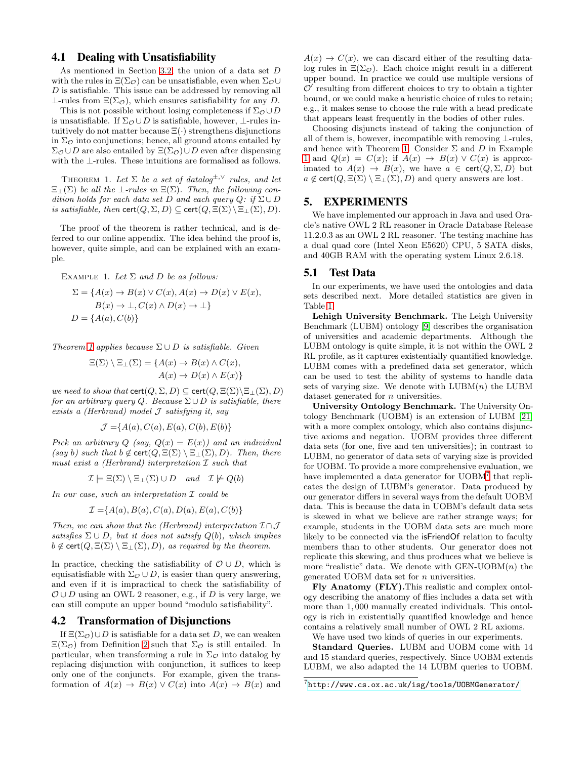## <span id="page-6-0"></span>**4.1 Dealing with Unsatisfiability**

As mentioned in Section [3.2,](#page-3-5) the union of a data set D with the rules in  $\Xi(\Sigma_{\mathcal{O}})$  can be unsatisfiable, even when  $\Sigma_{\mathcal{O}}\cup$  $D$  is satisfiable. This issue can be addressed by removing all  $\perp$ -rules from  $\Xi(\Sigma_{\mathcal{O}})$ , which ensures satisfiability for any D.

This is not possible without losing completeness if  $\Sigma_{\mathcal{O}} \cup D$ is unsatisfiable. If  $\Sigma_{\mathcal{O}} \cup D$  is satisfiable, however, ⊥-rules intuitively do not matter because  $\Xi(\cdot)$  strengthens disjunctions in  $\Sigma_{\mathcal{O}}$  into conjunctions; hence, all ground atoms entailed by  $\Sigma_{\mathcal{O}} \cup D$  are also entailed by  $\Xi(\Sigma_{\mathcal{O}}) \cup D$  even after dispensing with the ⊥-rules. These intuitions are formalised as follows.

<span id="page-6-1"></span>THEOREM 1. Let  $\Sigma$  be a set of datalog<sup> $\pm, \vee$ </sup> rules, and let  $\Xi_{\perp}(\Sigma)$  be all the  $\perp$ -rules in  $\Xi(\Sigma)$ . Then, the following condition holds for each data set D and each query  $Q:$  if  $\Sigma \cup D$ is satisfiable, then  $\text{cert}(Q, \Sigma, D) \subseteq \text{cert}(Q, \Xi(\Sigma) \setminus \Xi_{\bot}(\Sigma), D)$ .

The proof of the theorem is rather technical, and is deferred to our online appendix. The idea behind the proof is, however, quite simple, and can be explained with an example.

<span id="page-6-2"></span>EXAMPLE 1. Let  $\Sigma$  and  $D$  be as follows:

$$
\Sigma = \{ A(x) \to B(x) \lor C(x), A(x) \to D(x) \lor E(x),
$$
  
\n
$$
B(x) \to \bot, C(x) \land D(x) \to \bot \}
$$
  
\n
$$
D = \{ A(a), C(b) \}
$$

Theorem [1](#page-6-1) applies because  $\Sigma \cup D$  is satisfiable. Given

 $\Xi(\Sigma) \setminus \Xi_{\bot}(\Sigma) = \{A(x) \to B(x) \land C(x),\}$  $A(x) \rightarrow D(x) \wedge E(x)$ 

we need to show that  $\text{cert}(Q, \Sigma, D) \subseteq \text{cert}(Q, \Xi(\Sigma) \setminus \Xi_{\bot}(\Sigma), D)$ for an arbitrary query Q. Because  $\Sigma \cup D$  is satisfiable, there exists a (Herbrand) model  $J$  satisfying it, say

$$
\mathcal{J} = \{A(a), C(a), E(a), C(b), E(b)\}
$$

Pick an arbitrary Q (say,  $Q(x) = E(x)$ ) and an individual (say b) such that  $b \notin \text{cert}(Q, \Xi(\Sigma) \setminus \Xi_+(\Sigma), D)$ . Then, there must exist a (Herbrand) interpretation  $\mathcal I$  such that

$$
\mathcal{I} \models \Xi(\Sigma) \setminus \Xi_{\bot}(\Sigma) \cup D \quad and \quad \mathcal{I} \not\models Q(b)
$$

In our case, such an interpretation  $\mathcal I$  could be

$$
\mathcal{I} = \{A(a), B(a), C(a), D(a), E(a), C(b)\}
$$

Then, we can show that the (Herbrand) interpretation  $\mathcal{I} \cap \mathcal{J}$ satisfies  $\Sigma \cup D$ , but it does not satisfy  $Q(b)$ , which implies  $b \notin \text{cert}(Q, \Xi(\Sigma) \setminus \Xi_{\bot}(\Sigma), D)$ , as required by the theorem.

In practice, checking the satisfiability of  $\mathcal{O} \cup D$ , which is equisatisfiable with  $\Sigma_{\mathcal{O}} \cup D$ , is easier than query answering, and even if it is impractical to check the satisfiability of  $\mathcal{O} \cup D$  using an OWL 2 reasoner, e.g., if D is very large, we can still compute an upper bound "modulo satisfiability".

### **4.2 Transformation of Disjunctions**

If  $\Xi(\Sigma_{\mathcal{O}}) \cup D$  is satisfiable for a data set D, we can weaken  $\Xi(\Sigma_{\mathcal{O}})$  from Definition [2](#page-3-4) such that  $\Sigma_{\mathcal{O}}$  is still entailed. In particular, when transforming a rule in  $\Sigma_{\mathcal{O}}$  into datalog by replacing disjunction with conjunction, it suffices to keep only one of the conjuncts. For example, given the transformation of  $A(x) \to B(x) \vee C(x)$  into  $A(x) \to B(x)$  and

 $A(x) \rightarrow C(x)$ , we can discard either of the resulting datalog rules in  $\Xi(\Sigma_{\mathcal{O}})$ . Each choice might result in a different upper bound. In practice we could use multiple versions of  $\mathcal{O}'$  resulting from different choices to try to obtain a tighter bound, or we could make a heuristic choice of rules to retain; e.g., it makes sense to choose the rule with a head predicate that appears least frequently in the bodies of other rules.

Choosing disjuncts instead of taking the conjunction of all of them is, however, incompatible with removing  $\bot$ -rules, and hence with Theorem [1.](#page-6-1) Consider  $\Sigma$  and D in Example [1](#page-6-2) and  $Q(x) = C(x)$ ; if  $A(x) \rightarrow B(x) \vee C(x)$  is approximated to  $A(x) \rightarrow B(x)$ , we have  $a \in \text{cert}(Q, \Sigma, D)$  but  $a \notin \text{cert}(Q, \Xi(\Sigma) \setminus \Xi_{\bot}(\Sigma), D)$  and query answers are lost.

#### **5. EXPERIMENTS**

We have implemented our approach in Java and used Oracle's native OWL 2 RL reasoner in Oracle Database Release 11.2.0.3 as an OWL 2 RL reasoner. The testing machine has a dual quad core (Intel Xeon E5620) CPU, 5 SATA disks, and 40GB RAM with the operating system Linux 2.6.18.

#### **5.1 Test Data**

In our experiments, we have used the ontologies and data sets described next. More detailed statistics are given in Table [1.](#page-7-0)

Lehigh University Benchmark. The Leigh University Benchmark (LUBM) ontology [\[9\]](#page-9-13) describes the organisation of universities and academic departments. Although the LUBM ontology is quite simple, it is not within the OWL 2 RL profile, as it captures existentially quantified knowledge. LUBM comes with a predefined data set generator, which can be used to test the ability of systems to handle data sets of varying size. We denote with  $LUBM(n)$  the  $LUBM$ dataset generated for *n* universities.

University Ontology Benchmark. The University Ontology Benchmark (UOBM) is an extension of LUBM [\[21\]](#page-10-15) with a more complex ontology, which also contains disjunctive axioms and negation. UOBM provides three different data sets (for one, five and ten universities); in contrast to LUBM, no generator of data sets of varying size is provided for UOBM. To provide a more comprehensive evaluation, we have implemented a data generator for UOBM<sup>[7](#page-6-3)</sup> that replicates the design of LUBM's generator. Data produced by our generator differs in several ways from the default UOBM data. This is because the data in UOBM's default data sets is skewed in what we believe are rather strange ways; for example, students in the UOBM data sets are much more likely to be connected via the isFriendOf relation to faculty members than to other students. Our generator does not replicate this skewing, and thus produces what we believe is more "realistic" data. We denote with  $GEN-UOBM(n)$  the generated UOBM data set for n universities.

Fly Anatomy (FLY).This realistic and complex ontology describing the anatomy of flies includes a data set with more than 1, 000 manually created individuals. This ontology is rich in existentially quantified knowledge and hence contains a relatively small number of OWL 2 RL axioms.

We have used two kinds of queries in our experiments.

Standard Queries. LUBM and UOBM come with 14 and 15 standard queries, respectively. Since UOBM extends LUBM, we also adapted the 14 LUBM queries to UOBM.

<span id="page-6-3"></span> $^{7}$ <http://www.cs.ox.ac.uk/isg/tools/UOBMGenerator/>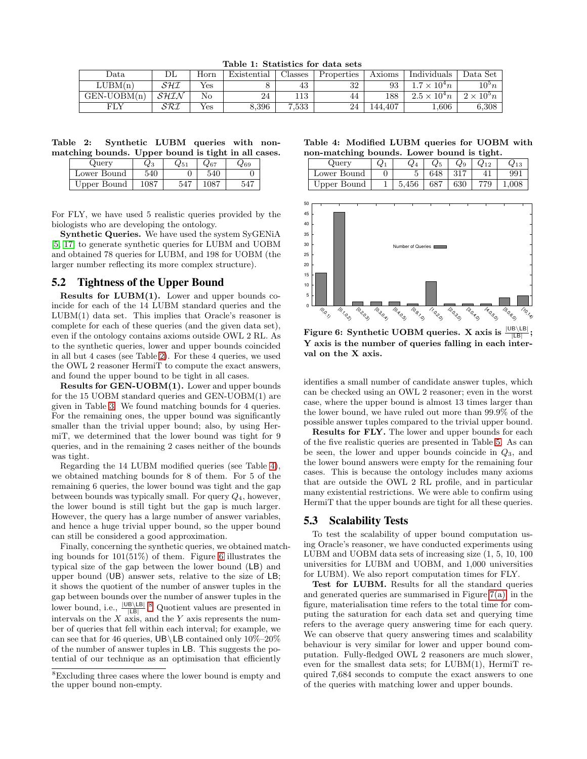<span id="page-7-0"></span>Table 1: Statistics for data sets

| Data          | ப்ப  | Horn | Existential | $\text{Classes}$ | Properties | Axioms  | Individuals         | Data Set            |
|---------------|------|------|-------------|------------------|------------|---------|---------------------|---------------------|
| LUBM(n)       | SHI  | Yes  |             | 43               | 32         | 93      | $7 \times 10^4 n$   | $10^{\circ}n$       |
| $GEN-UOBM(n)$ | SHIN | No   | 24          | 113              | 44         | 188     | $2.5 \times 10^4 n$ | $2 \times 10^{5} n$ |
| чLY           | SRI  | Yes  | 8,396       | 7,533            | 24         | 144.407 | 0.606               | 6.308               |

Table 2: Synthetic LUBM queries with nonmatching bounds. Upper bound is tight in all cases.

<span id="page-7-1"></span>

| Query       | $_{\rm Q3}$ |     | 267 | $\omega_{69}$ |  |
|-------------|-------------|-----|-----|---------------|--|
| Lower Bound | 540         |     | 540 |               |  |
| Upper Bound | 1087        | 547 |     |               |  |

For FLY, we have used 5 realistic queries provided by the biologists who are developing the ontology.

Synthetic Queries. We have used the system SyGENiA [\[5,](#page-9-14) [17\]](#page-10-16) to generate synthetic queries for LUBM and UOBM and obtained 78 queries for LUBM, and 198 for UOBM (the larger number reflecting its more complex structure).

### **5.2 Tightness of the Upper Bound**

Results for LUBM(1). Lower and upper bounds coincide for each of the 14 LUBM standard queries and the  $LUBM(1)$  data set. This implies that Oracle's reasoner is complete for each of these queries (and the given data set), even if the ontology contains axioms outside OWL 2 RL. As to the synthetic queries, lower and upper bounds coincided in all but 4 cases (see Table [2\)](#page-7-1). For these 4 queries, we used the OWL 2 reasoner HermiT to compute the exact answers, and found the upper bound to be tight in all cases.

Results for GEN-UOBM(1). Lower and upper bounds for the 15 UOBM standard queries and GEN-UOBM(1) are given in Table [3.](#page-8-1) We found matching bounds for 4 queries. For the remaining ones, the upper bound was significantly smaller than the trivial upper bound; also, by using HermiT, we determined that the lower bound was tight for 9 queries, and in the remaining 2 cases neither of the bounds was tight.

Regarding the 14 LUBM modified queries (see Table [4\)](#page-7-2), we obtained matching bounds for 8 of them. For 5 of the remaining 6 queries, the lower bound was tight and the gap between bounds was typically small. For query  $Q_4$ , however, the lower bound is still tight but the gap is much larger. However, the query has a large number of answer variables, and hence a huge trivial upper bound, so the upper bound can still be considered a good approximation.

Finally, concerning the synthetic queries, we obtained matching bounds for 101(51%) of them. Figure [6](#page-7-3) illustrates the typical size of the gap between the lower bound (LB) and upper bound (UB) answer sets, relative to the size of LB; it shows the quotient of the number of answer tuples in the gap between bounds over the number of answer tuples in the lower bound, i.e.,  $\frac{|\text{UB} \setminus \text{LB}|}{|\text{LB}|}$ .<sup>[8](#page-7-4)</sup> Quotient values are presented in intervals on the  $X$  axis, and the  $Y$  axis represents the number of queries that fell within each interval; for example, we can see that for 46 queries, UB\LB contained only  $10\%-20\%$ of the number of answer tuples in LB. This suggests the potential of our technique as an optimisation that efficiently

Table 4: Modified LUBM queries for UOBM with non-matching bounds. Lower bound is tight.

<span id="page-7-2"></span>

| Query       | $Q_1$ | $Q_4$         | $Q_5$ | $Q_9$     | $Q_{12}$ |       |
|-------------|-------|---------------|-------|-----------|----------|-------|
| Lower Bound |       |               | 648   | 317       |          | 991   |
| Upper Bound |       | $5,456$   687 |       | $\pm 630$ | 779      | 1,008 |



<span id="page-7-3"></span>Figure 6: Synthetic UOBM queries. X axis is  $\frac{|\mathsf{UB} \setminus \mathsf{LB}|}{|\mathsf{LB}|};$ Y axis is the number of queries falling in each interval on the X axis.

identifies a small number of candidate answer tuples, which can be checked using an OWL 2 reasoner; even in the worst case, where the upper bound is almost 13 times larger than the lower bound, we have ruled out more than 99.9% of the possible answer tuples compared to the trivial upper bound.

Results for FLY. The lower and upper bounds for each of the five realistic queries are presented in Table [5.](#page-8-2) As can be seen, the lower and upper bounds coincide in  $Q_3$ , and the lower bound answers were empty for the remaining four cases. This is because the ontology includes many axioms that are outside the OWL 2 RL profile, and in particular many existential restrictions. We were able to confirm using HermiT that the upper bounds are tight for all these queries.

## **5.3 Scalability Tests**

To test the scalability of upper bound computation using Oracle's reasoner, we have conducted experiments using LUBM and UOBM data sets of increasing size (1, 5, 10, 100 universities for LUBM and UOBM, and 1,000 universities for LUBM). We also report computation times for FLY.

Test for LUBM. Results for all the standard queries and generated queries are summarised in Figure  $7(a)$ ; in the figure, materialisation time refers to the total time for computing the saturation for each data set and querying time refers to the average query answering time for each query. We can observe that query answering times and scalability behaviour is very similar for lower and upper bound computation. Fully-fledged OWL 2 reasoners are much slower, even for the smallest data sets; for LUBM(1), HermiT required 7,684 seconds to compute the exact answers to one of the queries with matching lower and upper bounds.

<span id="page-7-4"></span><sup>8</sup>Excluding three cases where the lower bound is empty and the upper bound non-empty.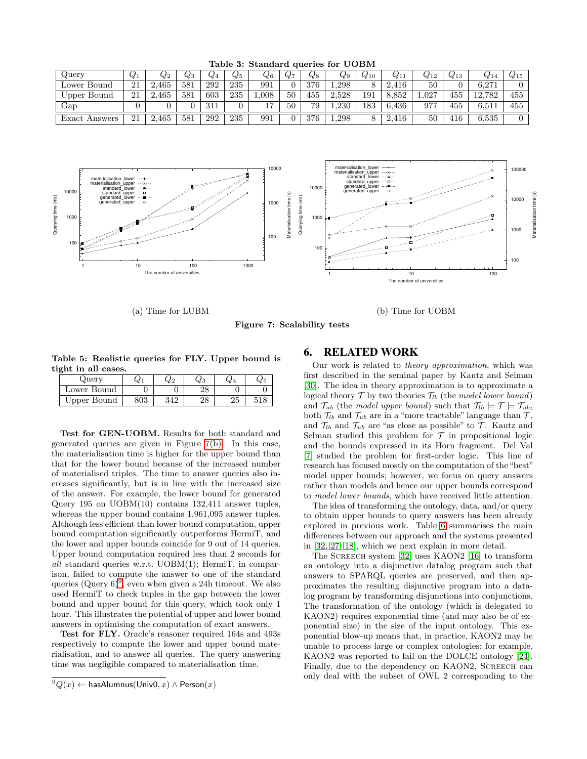| $\omega$ uerv     | $Q_1$ | $Q_2$ | $_{\mathcal{C}3}$ | $Q_4$ | $\,_{5}$ | $\omega$ 6 | $Q^7$ | $_{\rm Q8}$ | Ų9    | $Q_{10}$ | $Q_{11}$ | $Q_{12}$ | 413 | V 14   | $Q_{15}$ |
|-------------------|-------|-------|-------------------|-------|----------|------------|-------|-------------|-------|----------|----------|----------|-----|--------|----------|
| Lower Bound       | 21    | 465   | 581               | 292   | 235      | 991        |       | 376         | 1.298 |          | 416      | 50       |     | 6.271  |          |
| Upper Bound       | 21    | 465   | 581               | 603   | 235      | .008       | 50    | 455         | 2.528 | 191      | 8.852    | 1.027    | 455 | 12.782 | 455      |
| Gap               |       |       |                   | 21    |          |            | 50    | 79          | 1.230 | 183      | 6,436    | 977      | 455 | 6,511  | 455      |
| Exact.<br>Answers | 21    | 2,465 | 581               | 292   | 235      | 991        |       | 376         | 1.298 |          | 416<br>∼ | 50       | 416 | 6,535  |          |

<span id="page-8-1"></span>Table 3: Standard queries for UOBM



(a) Time for LUBM

(b) Time for UOBM

Figure 7: Scalability tests

<span id="page-8-3"></span>Table 5: Realistic queries for FLY. Upper bound is tight in all cases.

<span id="page-8-2"></span>

| $Q$ uery    |  | ২৫১ | W 4 | 62 C |
|-------------|--|-----|-----|------|
| Lower Bound |  | 40  |     |      |
| Upper Bound |  | 40  | ∠ι  |      |

Test for GEN-UOBM. Results for both standard and generated queries are given in Figure [7\(b\).](#page-8-4) In this case, the materialisation time is higher for the upper bound than that for the lower bound because of the increased number of materialised triples. The time to answer queries also increases significantly, but is in line with the increased size of the answer. For example, the lower bound for generated Query 195 on UOBM(10) contains 132,411 answer tuples, whereas the upper bound contains 1,961,095 answer tuples. Although less efficient than lower bound computation, upper bound computation significantly outperforms HermiT, and the lower and upper bounds coincide for 9 out of 14 queries. Upper bound computation required less than 2 seconds for all standard queries w.r.t. UOBM(1); HermiT, in comparison, failed to compute the answer to one of the standard queries  $(\text{Query } 6)^9$  $(\text{Query } 6)^9$ , even when given a 24h timeout. We also used HermiT to check tuples in the gap between the lower bound and upper bound for this query, which took only 1 hour. This illustrates the potential of upper and lower bound answers in optimising the computation of exact answers.

Test for FLY. Oracle's reasoner required 164s and 493s respectively to compute the lower and upper bound materialisation, and to answer all queries. The query answering time was negligible compared to materialisation time.

## <span id="page-8-4"></span><span id="page-8-0"></span>**6. RELATED WORK**

Our work is related to theory approximation, which was first described in the seminal paper by Kautz and Selman [\[30\]](#page-10-11). The idea in theory approximation is to approximate a logical theory  $\mathcal T$  by two theories  $\mathcal T_{lb}$  (the model lower bound) and  $\mathcal{T}_{ub}$  (the model upper bound) such that  $\mathcal{T}_{lb} \models \mathcal{T} \models \mathcal{T}_{ub}$ , both  $\mathcal{T}_{lb}$  and  $\mathcal{T}_{ub}$  are in a "more tractable" language than  $\mathcal{T}$ , and  $\mathcal{T}_{lb}$  and  $\mathcal{T}_{ub}$  are "as close as possible" to  $\mathcal{T}$ . Kautz and Selman studied this problem for  $\mathcal T$  in propositional logic and the bounds expressed in its Horn fragment. Del Val [\[7\]](#page-9-5) studied the problem for first-order logic. This line of research has focused mostly on the computation of the "best" model upper bounds; however, we focus on query answers rather than models and hence our upper bounds correspond to model lower bounds, which have received little attention.

The idea of transforming the ontology, data, and/or query to obtain upper bounds to query answers has been already explored in previous work. Table [6](#page-9-15) summarises the main differences between our approach and the systems presented in [\[32,](#page-10-12) [27,](#page-10-13) [18\]](#page-10-14), which we next explain in more detail.

The Screech system [\[32\]](#page-10-12) uses KAON2 [\[16\]](#page-9-16) to transform an ontology into a disjunctive datalog program such that answers to SPARQL queries are preserved, and then approximates the resulting disjunctive program into a datalog program by transforming disjunctions into conjunctions. The transformation of the ontology (which is delegated to KAON2) requires exponential time (and may also be of exponential size) in the size of the input ontology. This exponential blow-up means that, in practice, KAON2 may be unable to process large or complex ontologies; for example, KAON2 was reported to fail on the DOLCE ontology [\[24\]](#page-10-17). Finally, due to the dependency on KAON2, SCREECH can only deal with the subset of OWL 2 corresponding to the

<span id="page-8-5"></span><sup>&</sup>lt;sup>9</sup> $Q(x)$  ← hasAlumnus(Univ0, x) ∧ Person(x)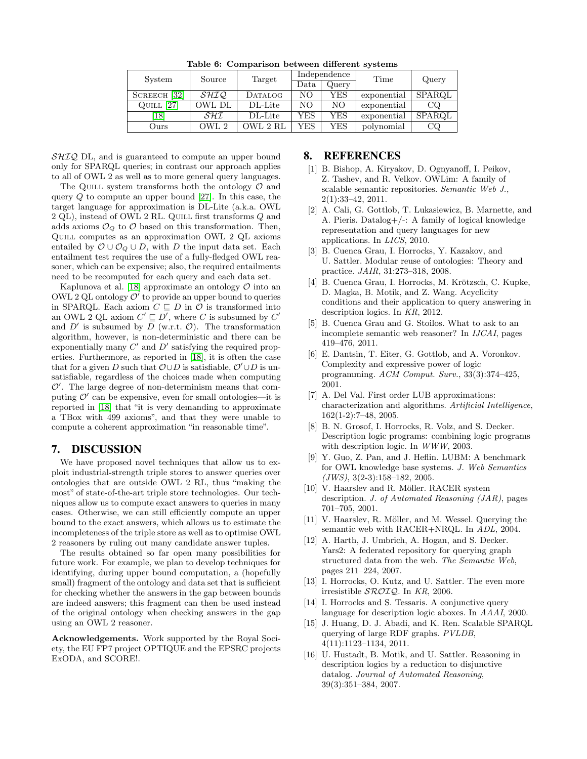| System                              | Source      | Target   |      | Independence | Time        | Query  |  |
|-------------------------------------|-------------|----------|------|--------------|-------------|--------|--|
|                                     |             |          | Data | Query        |             |        |  |
| $\left[32\right]$<br><b>SCREECH</b> | <i>SHIQ</i> | DATALOG  | NΟ   | YES          | exponential | SPARQL |  |
| [27]<br>QUILL                       | OWL DL      | DL-Lite  | NΟ   | NΟ           | exponential | CQ     |  |
| $\left[18\right]$                   | SHI         | DL-Lite  | YES  | YES          | exponential | SPARQL |  |
| Ours                                | OWL 2       | OWL 2 RL | YES  | YES          | polynomial  | CQ     |  |

<span id="page-9-15"></span>Table 6: Comparison between different systems

 $\mathcal{SHIQ}$  DL, and is guaranteed to compute an upper bound only for SPARQL queries; in contrast our approach applies to all of OWL 2 as well as to more general query languages.

The QUILL system transforms both the ontology  $\mathcal O$  and query  $Q$  to compute an upper bound [\[27\]](#page-10-13). In this case, the target language for approximation is DL-Lite (a.k.a. OWL 2 QL), instead of OWL 2 RL. QUILL first transforms Q and adds axioms  $\mathcal{O}_Q$  to  $\mathcal O$  based on this transformation. Then, Quill computes as an approximation OWL 2 QL axioms entailed by  $\mathcal{O} \cup \mathcal{O}_Q \cup D$ , with D the input data set. Each entailment test requires the use of a fully-fledged OWL reasoner, which can be expensive; also, the required entailments need to be recomputed for each query and each data set.

Kaplunova et al. [\[18\]](#page-10-14) approximate an ontology  $\mathcal O$  into an OWL 2 QL ontology  $\mathcal{O}'$  to provide an upper bound to queries in SPARQL. Each axiom  $C \subseteq D$  in  $\mathcal O$  is transformed into an OWL 2 QL axiom  $C' \sqsubseteq D'$ , where C is subsumed by  $C'$ and  $D'$  is subsumed by  $D$  (w.r.t.  $\mathcal{O}$ ). The transformation algorithm, however, is non-deterministic and there can be exponentially many  $C'$  and  $D'$  satisfying the required properties. Furthermore, as reported in [\[18\]](#page-10-14), it is often the case that for a given D such that  $\mathcal{O} \cup D$  is satisfiable,  $\mathcal{O}' \cup D$  is unsatisfiable, regardless of the choices made when computing  $\mathcal{O}'$ . The large degree of non-determinism means that computing  $\mathcal{O}'$  can be expensive, even for small ontologies—it is reported in [\[18\]](#page-10-14) that "it is very demanding to approximate a TBox with 499 axioms", and that they were unable to compute a coherent approximation "in reasonable time".

## **7. DISCUSSION**

We have proposed novel techniques that allow us to exploit industrial-strength triple stores to answer queries over ontologies that are outside OWL 2 RL, thus "making the most" of state-of-the-art triple store technologies. Our techniques allow us to compute exact answers to queries in many cases. Otherwise, we can still efficiently compute an upper bound to the exact answers, which allows us to estimate the incompleteness of the triple store as well as to optimise OWL 2 reasoners by ruling out many candidate answer tuples.

The results obtained so far open many possibilities for future work. For example, we plan to develop techniques for identifying, during upper bound computation, a (hopefully small) fragment of the ontology and data set that is sufficient for checking whether the answers in the gap between bounds are indeed answers; this fragment can then be used instead of the original ontology when checking answers in the gap using an OWL 2 reasoner.

Acknowledgements. Work supported by the Royal Society, the EU FP7 project OPTIQUE and the EPSRC projects ExODA, and SCORE!.

### <span id="page-9-2"></span>**8. REFERENCES**

- [1] B. Bishop, A. Kiryakov, D. Ognyanoff, I. Peikov, Z. Tashev, and R. Velkov. OWLim: A family of scalable semantic repositories. Semantic Web J., 2(1):33–42, 2011.
- <span id="page-9-9"></span>[2] A. Cali, G. Gottlob, T. Lukasiewicz, B. Marnette, and A. Pieris. Datalog+/-: A family of logical knowledge representation and query languages for new applications. In LICS, 2010.
- <span id="page-9-10"></span>[3] B. Cuenca Grau, I. Horrocks, Y. Kazakov, and U. Sattler. Modular reuse of ontologies: Theory and practice. JAIR, 31:273–318, 2008.
- <span id="page-9-11"></span>[4] B. Cuenca Grau, I. Horrocks, M. Krötzsch, C. Kupke, D. Magka, B. Motik, and Z. Wang. Acyclicity conditions and their application to query answering in description logics. In KR, 2012.
- <span id="page-9-14"></span>[5] B. Cuenca Grau and G. Stoilos. What to ask to an incomplete semantic web reasoner? In IJCAI, pages 419–476, 2011.
- <span id="page-9-8"></span>[6] E. Dantsin, T. Eiter, G. Gottlob, and A. Voronkov. Complexity and expressive power of logic programming. ACM Comput. Surv., 33(3):374–425, 2001.
- <span id="page-9-5"></span>[7] A. Del Val. First order LUB approximations: characterization and algorithms. Artificial Intelligence, 162(1-2):7–48, 2005.
- <span id="page-9-7"></span>[8] B. N. Grosof, I. Horrocks, R. Volz, and S. Decker. Description logic programs: combining logic programs with description logic. In WWW, 2003.
- <span id="page-9-13"></span>[9] Y. Guo, Z. Pan, and J. Heflin. LUBM: A benchmark for OWL knowledge base systems. J. Web Semantics  $(JWS)$ , 3(2-3):158-182, 2005.
- <span id="page-9-3"></span>[10] V. Haarslev and R. Möller. RACER system description. J. of Automated Reasoning (JAR), pages 701–705, 2001.
- <span id="page-9-4"></span>[11] V. Haarslev, R. Möller, and M. Wessel. Querying the semantic web with RACER+NRQL. In ADL, 2004.
- <span id="page-9-0"></span>[12] A. Harth, J. Umbrich, A. Hogan, and S. Decker. Yars2: A federated repository for querying graph structured data from the web. The Semantic Web, pages 211–224, 2007.
- <span id="page-9-6"></span>[13] I. Horrocks, O. Kutz, and U. Sattler. The even more irresistible  $\mathcal{SROIQ}$ . In KR, 2006.
- <span id="page-9-12"></span>[14] I. Horrocks and S. Tessaris. A conjunctive query language for description logic aboxes. In AAAI, 2000.
- <span id="page-9-1"></span>[15] J. Huang, D. J. Abadi, and K. Ren. Scalable SPARQL querying of large RDF graphs. PVLDB, 4(11):1123–1134, 2011.
- <span id="page-9-16"></span>[16] U. Hustadt, B. Motik, and U. Sattler. Reasoning in description logics by a reduction to disjunctive datalog. Journal of Automated Reasoning, 39(3):351–384, 2007.